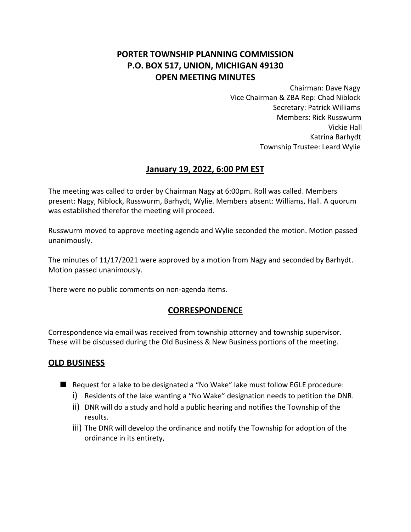# **PORTER TOWNSHIP PLANNING COMMISSION P.O. BOX 517, UNION, MICHIGAN 49130 OPEN MEETING MINUTES**

Chairman: Dave Nagy Vice Chairman & ZBA Rep: Chad Niblock Secretary: Patrick Williams Members: Rick Russwurm Vickie Hall Katrina Barhydt Township Trustee: Leard Wylie

## **January 19, 2022, 6:00 PM EST**

The meeting was called to order by Chairman Nagy at 6:00pm. Roll was called. Members present: Nagy, Niblock, Russwurm, Barhydt, Wylie. Members absent: Williams, Hall. A quorum was established therefor the meeting will proceed.

Russwurm moved to approve meeting agenda and Wylie seconded the motion. Motion passed unanimously.

The minutes of 11/17/2021 were approved by a motion from Nagy and seconded by Barhydt. Motion passed unanimously.

There were no public comments on non-agenda items.

## **CORRESPONDENCE**

Correspondence via email was received from township attorney and township supervisor. These will be discussed during the Old Business & New Business portions of the meeting.

## **OLD BUSINESS**

- Request for a lake to be designated a "No Wake" lake must follow EGLE procedure:
	- i) Residents of the lake wanting a "No Wake" designation needs to petition the DNR.
	- ii) DNR will do a study and hold a public hearing and notifies the Township of the results.
	- iii) The DNR will develop the ordinance and notify the Township for adoption of the ordinance in its entirety,